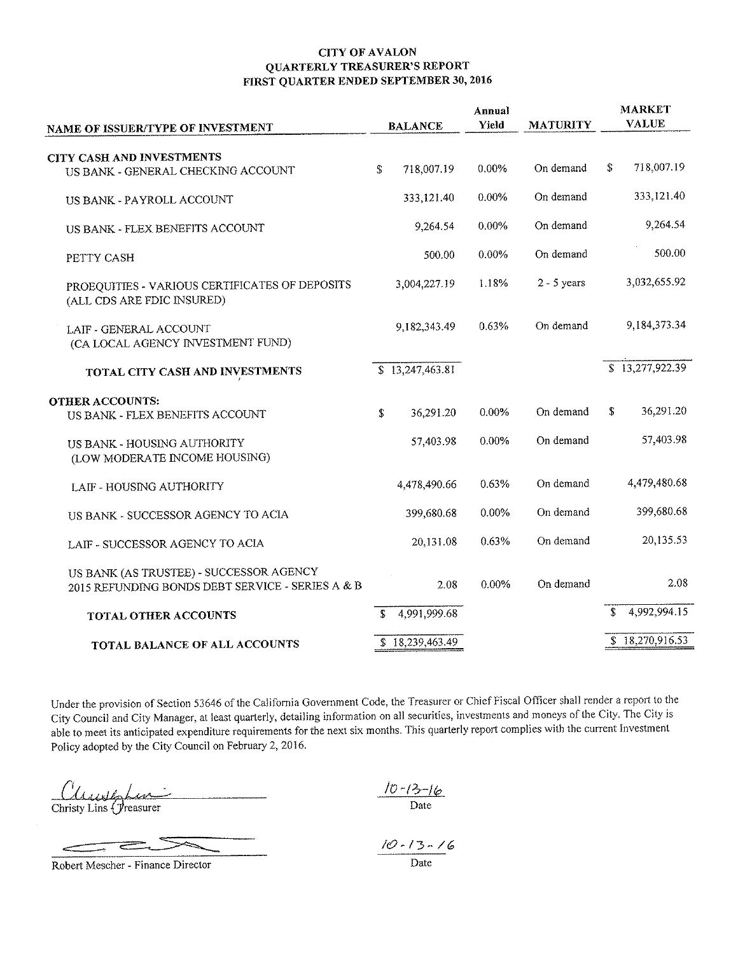## **CITY OF AVALON QUARTERLY TREASURER'S REPORT** FIRST QUARTER ENDED SEPTEMBER 30, 2016

| <b>BALANCE</b>               | Annual<br>Yield | <b>MATURITY</b> | <b>MARKET</b><br><b>VALUE</b> |  |
|------------------------------|-----------------|-----------------|-------------------------------|--|
|                              |                 |                 |                               |  |
| $\mathbf S$<br>718,007.19    | 0.00%           | On demand       | 718,007.19<br>S.              |  |
| 333,121.40                   | $0.00\%$        | On demand       | 333,121.40                    |  |
| 9,264.54                     | $0.00\%$        | On demand       | 9,264.54                      |  |
| 500.00                       | 0.00%           | On demand       | 500.00                        |  |
| 3,004,227.19                 | 1.18%           | $2 - 5$ years   | 3,032,655.92                  |  |
| 9.182,343.49                 | 0.63%           | On demand       | 9, 184, 373, 34               |  |
| $\overline{S}$ 13,247,463.81 |                 |                 | $\overline{8}$ 13,277,922.39  |  |
|                              |                 |                 |                               |  |
| 36,291.20<br>\$              | 0.00%           | On demand       | 36,291.20<br>\$               |  |
| 57,403.98                    | 0.00%           | On demand       | 57,403.98                     |  |
| 4,478,490.66                 | 0.63%           | On demand       | 4,479,480.68                  |  |
| 399,680.68                   | 0.00%           | On demand       | 399,680.68                    |  |
| 20,131.08                    | 0.63%           | On demand       | 20,135.53                     |  |
| 2.08                         | 0.00%           | On demand       | 2.08                          |  |
| S.                           |                 |                 | 4,992,994.15<br>S.            |  |
| \$18,239,463.49              |                 |                 | \$18,270,916.53               |  |
|                              | 4,991,999.68    |                 |                               |  |

Under the provision of Section 53646 of the California Government Code, the Treasurer or Chief Fiscal Officer shall render a report to the City Council and City Manager, at least quarterly, detailing information on all securities, investments and moneys of the City. The City is able to meet its anticipated expenditure requirements for the next six months. This quarterly report complies with the current Investment Policy adopted by the City Council on February 2, 2016.

Clearship

æ.

Robert Mescher - Finance Director

 $\frac{|D-13-16|}{\text{Date}}$ 

 $\frac{10 - 13 - 16}{\text{Date}}$